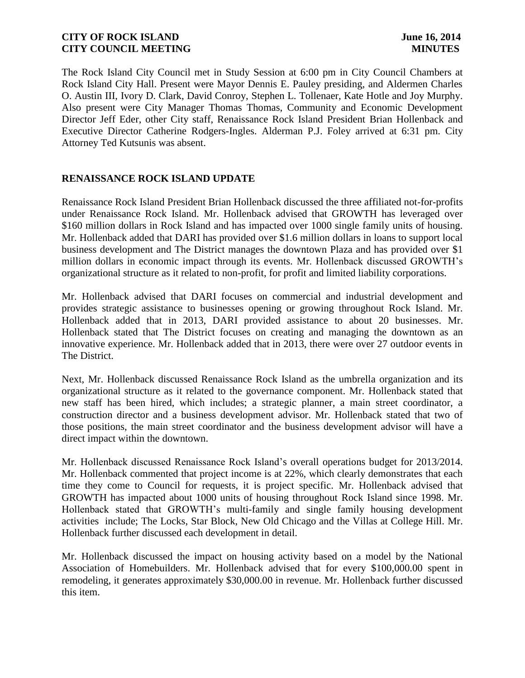The Rock Island City Council met in Study Session at 6:00 pm in City Council Chambers at Rock Island City Hall. Present were Mayor Dennis E. Pauley presiding, and Aldermen Charles O. Austin III, Ivory D. Clark, David Conroy, Stephen L. Tollenaer, Kate Hotle and Joy Murphy. Also present were City Manager Thomas Thomas, Community and Economic Development Director Jeff Eder, other City staff, Renaissance Rock Island President Brian Hollenback and Executive Director Catherine Rodgers-Ingles. Alderman P.J. Foley arrived at 6:31 pm. City Attorney Ted Kutsunis was absent.

# **RENAISSANCE ROCK ISLAND UPDATE**

Renaissance Rock Island President Brian Hollenback discussed the three affiliated not-for-profits under Renaissance Rock Island. Mr. Hollenback advised that GROWTH has leveraged over \$160 million dollars in Rock Island and has impacted over 1000 single family units of housing. Mr. Hollenback added that DARI has provided over \$1.6 million dollars in loans to support local business development and The District manages the downtown Plaza and has provided over \$1 million dollars in economic impact through its events. Mr. Hollenback discussed GROWTH's organizational structure as it related to non-profit, for profit and limited liability corporations.

Mr. Hollenback advised that DARI focuses on commercial and industrial development and provides strategic assistance to businesses opening or growing throughout Rock Island. Mr. Hollenback added that in 2013, DARI provided assistance to about 20 businesses. Mr. Hollenback stated that The District focuses on creating and managing the downtown as an innovative experience. Mr. Hollenback added that in 2013, there were over 27 outdoor events in The District.

Next, Mr. Hollenback discussed Renaissance Rock Island as the umbrella organization and its organizational structure as it related to the governance component. Mr. Hollenback stated that new staff has been hired, which includes; a strategic planner, a main street coordinator, a construction director and a business development advisor. Mr. Hollenback stated that two of those positions, the main street coordinator and the business development advisor will have a direct impact within the downtown.

Mr. Hollenback discussed Renaissance Rock Island's overall operations budget for 2013/2014. Mr. Hollenback commented that project income is at 22%, which clearly demonstrates that each time they come to Council for requests, it is project specific. Mr. Hollenback advised that GROWTH has impacted about 1000 units of housing throughout Rock Island since 1998. Mr. Hollenback stated that GROWTH's multi-family and single family housing development activities include; The Locks, Star Block, New Old Chicago and the Villas at College Hill. Mr. Hollenback further discussed each development in detail.

Mr. Hollenback discussed the impact on housing activity based on a model by the National Association of Homebuilders. Mr. Hollenback advised that for every \$100,000.00 spent in remodeling, it generates approximately \$30,000.00 in revenue. Mr. Hollenback further discussed this item.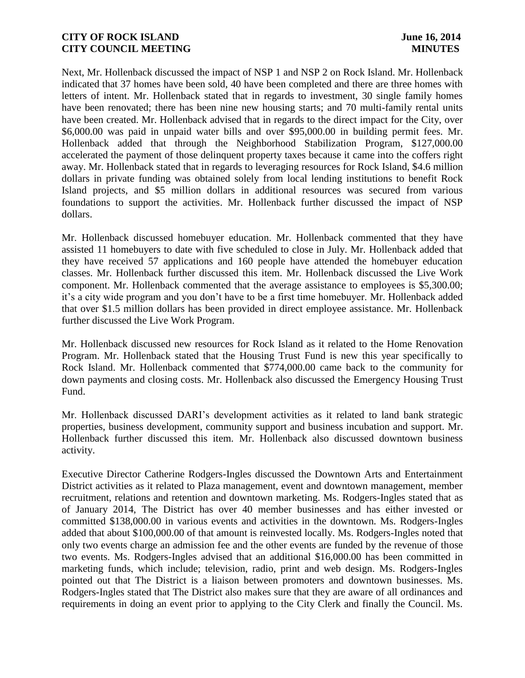Next, Mr. Hollenback discussed the impact of NSP 1 and NSP 2 on Rock Island. Mr. Hollenback indicated that 37 homes have been sold, 40 have been completed and there are three homes with letters of intent. Mr. Hollenback stated that in regards to investment, 30 single family homes have been renovated; there has been nine new housing starts; and 70 multi-family rental units have been created. Mr. Hollenback advised that in regards to the direct impact for the City, over \$6,000.00 was paid in unpaid water bills and over \$95,000.00 in building permit fees. Mr. Hollenback added that through the Neighborhood Stabilization Program, \$127,000.00 accelerated the payment of those delinquent property taxes because it came into the coffers right away. Mr. Hollenback stated that in regards to leveraging resources for Rock Island, \$4.6 million dollars in private funding was obtained solely from local lending institutions to benefit Rock Island projects, and \$5 million dollars in additional resources was secured from various foundations to support the activities. Mr. Hollenback further discussed the impact of NSP dollars.

Mr. Hollenback discussed homebuyer education. Mr. Hollenback commented that they have assisted 11 homebuyers to date with five scheduled to close in July. Mr. Hollenback added that they have received 57 applications and 160 people have attended the homebuyer education classes. Mr. Hollenback further discussed this item. Mr. Hollenback discussed the Live Work component. Mr. Hollenback commented that the average assistance to employees is \$5,300.00; it's a city wide program and you don't have to be a first time homebuyer. Mr. Hollenback added that over \$1.5 million dollars has been provided in direct employee assistance. Mr. Hollenback further discussed the Live Work Program.

Mr. Hollenback discussed new resources for Rock Island as it related to the Home Renovation Program. Mr. Hollenback stated that the Housing Trust Fund is new this year specifically to Rock Island. Mr. Hollenback commented that \$774,000.00 came back to the community for down payments and closing costs. Mr. Hollenback also discussed the Emergency Housing Trust Fund.

Mr. Hollenback discussed DARI's development activities as it related to land bank strategic properties, business development, community support and business incubation and support. Mr. Hollenback further discussed this item. Mr. Hollenback also discussed downtown business activity.

Executive Director Catherine Rodgers-Ingles discussed the Downtown Arts and Entertainment District activities as it related to Plaza management, event and downtown management, member recruitment, relations and retention and downtown marketing. Ms. Rodgers-Ingles stated that as of January 2014, The District has over 40 member businesses and has either invested or committed \$138,000.00 in various events and activities in the downtown. Ms. Rodgers-Ingles added that about \$100,000.00 of that amount is reinvested locally. Ms. Rodgers-Ingles noted that only two events charge an admission fee and the other events are funded by the revenue of those two events. Ms. Rodgers-Ingles advised that an additional \$16,000.00 has been committed in marketing funds, which include; television, radio, print and web design. Ms. Rodgers-Ingles pointed out that The District is a liaison between promoters and downtown businesses. Ms. Rodgers-Ingles stated that The District also makes sure that they are aware of all ordinances and requirements in doing an event prior to applying to the City Clerk and finally the Council. Ms.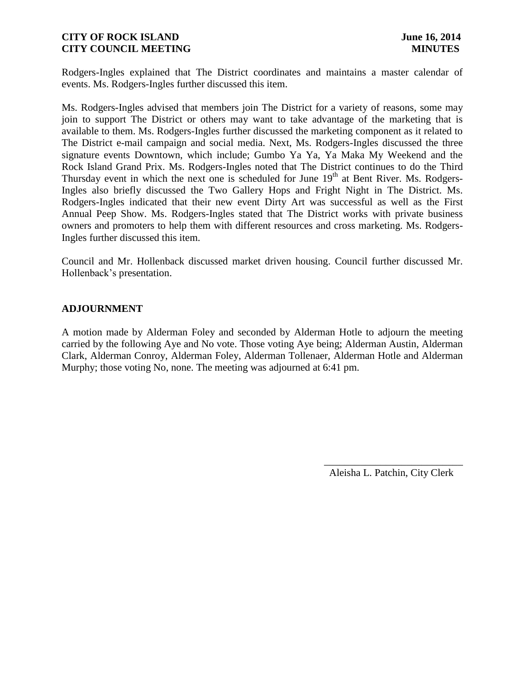Rodgers-Ingles explained that The District coordinates and maintains a master calendar of events. Ms. Rodgers-Ingles further discussed this item.

Ms. Rodgers-Ingles advised that members join The District for a variety of reasons, some may join to support The District or others may want to take advantage of the marketing that is available to them. Ms. Rodgers-Ingles further discussed the marketing component as it related to The District e-mail campaign and social media. Next, Ms. Rodgers-Ingles discussed the three signature events Downtown, which include; Gumbo Ya Ya, Ya Maka My Weekend and the Rock Island Grand Prix. Ms. Rodgers-Ingles noted that The District continues to do the Third Thursday event in which the next one is scheduled for June  $19<sup>th</sup>$  at Bent River. Ms. Rodgers-Ingles also briefly discussed the Two Gallery Hops and Fright Night in The District. Ms. Rodgers-Ingles indicated that their new event Dirty Art was successful as well as the First Annual Peep Show. Ms. Rodgers-Ingles stated that The District works with private business owners and promoters to help them with different resources and cross marketing. Ms. Rodgers-Ingles further discussed this item.

Council and Mr. Hollenback discussed market driven housing. Council further discussed Mr. Hollenback's presentation.

### **ADJOURNMENT**

A motion made by Alderman Foley and seconded by Alderman Hotle to adjourn the meeting carried by the following Aye and No vote. Those voting Aye being; Alderman Austin, Alderman Clark, Alderman Conroy, Alderman Foley, Alderman Tollenaer, Alderman Hotle and Alderman Murphy; those voting No, none. The meeting was adjourned at 6:41 pm.

Aleisha L. Patchin, City Clerk

 $\frac{1}{2}$  , and the set of the set of the set of the set of the set of the set of the set of the set of the set of the set of the set of the set of the set of the set of the set of the set of the set of the set of the set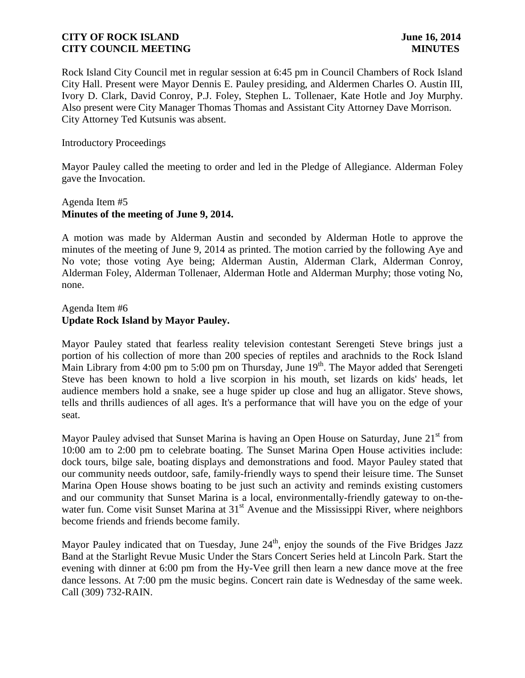Rock Island City Council met in regular session at 6:45 pm in Council Chambers of Rock Island City Hall. Present were Mayor Dennis E. Pauley presiding, and Aldermen Charles O. Austin III, Ivory D. Clark, David Conroy, P.J. Foley, Stephen L. Tollenaer, Kate Hotle and Joy Murphy. Also present were City Manager Thomas Thomas and Assistant City Attorney Dave Morrison. City Attorney Ted Kutsunis was absent.

### Introductory Proceedings

Mayor Pauley called the meeting to order and led in the Pledge of Allegiance. Alderman Foley gave the Invocation.

# Agenda Item #5 **Minutes of the meeting of June 9, 2014.**

A motion was made by Alderman Austin and seconded by Alderman Hotle to approve the minutes of the meeting of June 9, 2014 as printed. The motion carried by the following Aye and No vote; those voting Aye being; Alderman Austin, Alderman Clark, Alderman Conroy, Alderman Foley, Alderman Tollenaer, Alderman Hotle and Alderman Murphy; those voting No, none.

### Agenda Item #6 **Update Rock Island by Mayor Pauley.**

Mayor Pauley stated that fearless reality television contestant Serengeti Steve brings just a portion of his collection of more than 200 species of reptiles and arachnids to the Rock Island Main Library from 4:00 pm to 5:00 pm on Thursday, June  $19<sup>th</sup>$ . The Mayor added that Serengeti Steve has been known to hold a live scorpion in his mouth, set lizards on kids' heads, let audience members hold a snake, see a huge spider up close and hug an alligator. Steve shows, tells and thrills audiences of all ages. It's a performance that will have you on the edge of your seat.

water fun. Come visit Sunset Marina at  $31<sup>st</sup>$  Avenue and the Mississippi River, where neighbors become friends and friends become family. Mayor Pauley advised that Sunset Marina is having an Open House on Saturday, June 21<sup>st</sup> from 10:00 am to 2:00 pm to celebrate boating. The Sunset Marina Open House activities include: dock tours, bilge sale, boating displays and demonstrations and food. Mayor Pauley stated that our community needs outdoor, safe, family-friendly ways to spend their leisure time. The Sunset Marina Open House shows boating to be just such an activity and reminds existing customers and our community that Sunset Marina is a local, environmentally-friendly gateway to on-the-

Mayor Pauley indicated that on Tuesday, June 24<sup>th</sup>, enjoy the sounds of the Five Bridges Jazz Band at the Starlight Revue Music Under the Stars Concert Series held at Lincoln Park. Start the evening with dinner at 6:00 pm from the Hy-Vee grill then learn a new dance move at the free dance lessons. At 7:00 pm the music begins. Concert rain date is Wednesday of the same week. Call (309) 732-RAIN.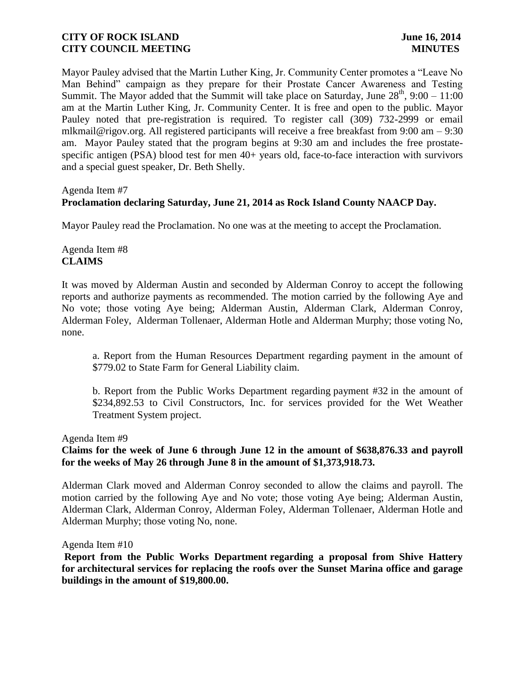Mayor Pauley advised that the Martin Luther King, Jr. Community Center promotes a "Leave No Man Behind" campaign as they prepare for their Prostate Cancer Awareness and Testing Summit. The Mayor added that the Summit will take place on Saturday, June  $28<sup>th</sup>$ , 9:00 – 11:00 am at the Martin Luther King, Jr. Community Center. It is free and open to the public. Mayor Pauley noted that pre-registration is required. To register call (309) 732-2999 or email mlkmail@rigov.org. All registered participants will receive a free breakfast from 9:00 am – 9:30 am. Mayor Pauley stated that the program begins at 9:30 am and includes the free prostatespecific antigen (PSA) blood test for men 40+ years old, face-to-face interaction with survivors and a special guest speaker, Dr. Beth Shelly.

#### Agenda Item #7

### **Proclamation declaring Saturday, June 21, 2014 as Rock Island County NAACP Day.**

Mayor Pauley read the Proclamation. No one was at the meeting to accept the Proclamation.

### Agenda Item #8 **CLAIMS**

It was moved by Alderman Austin and seconded by Alderman Conroy to accept the following reports and authorize payments as recommended. The motion carried by the following Aye and No vote; those voting Aye being; Alderman Austin, Alderman Clark, Alderman Conroy, Alderman Foley, Alderman Tollenaer, Alderman Hotle and Alderman Murphy; those voting No, none.

a. Report from the Human Resources Department regarding payment in the amount of \$779.02 to State Farm for General Liability claim.

b. Report from the Public Works Department regarding payment #32 in the amount of \$234,892.53 to Civil Constructors, Inc. for services provided for the Wet Weather Treatment System project.

#### Agenda Item #9

### **Claims for the week of June 6 through June 12 in the amount of \$638,876.33 and payroll for the weeks of May 26 through June 8 in the amount of \$1,373,918.73.**

Alderman Clark moved and Alderman Conroy seconded to allow the claims and payroll. The motion carried by the following Aye and No vote; those voting Aye being; Alderman Austin, Alderman Clark, Alderman Conroy, Alderman Foley, Alderman Tollenaer, Alderman Hotle and Alderman Murphy; those voting No, none.

#### Agenda Item #10

**Report from the Public Works Department regarding a proposal from Shive Hattery for architectural services for replacing the roofs over the Sunset Marina office and garage buildings in the amount of \$19,800.00.**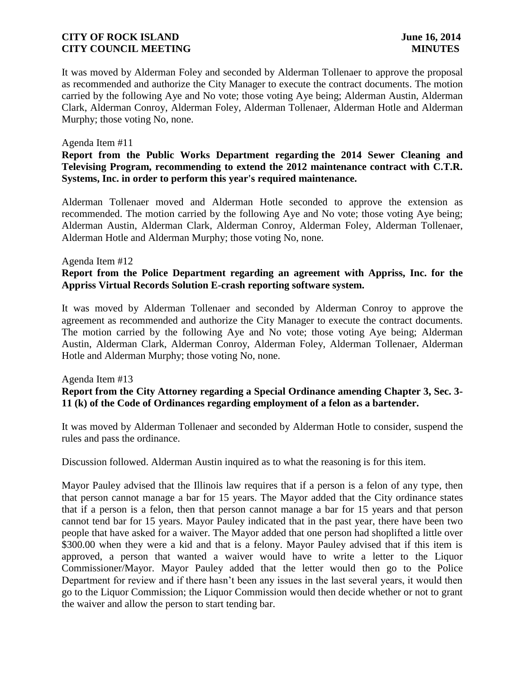It was moved by Alderman Foley and seconded by Alderman Tollenaer to approve the proposal as recommended and authorize the City Manager to execute the contract documents. The motion carried by the following Aye and No vote; those voting Aye being; Alderman Austin, Alderman Clark, Alderman Conroy, Alderman Foley, Alderman Tollenaer, Alderman Hotle and Alderman Murphy; those voting No, none.

### Agenda Item #11

## **Report from the Public Works Department regarding the 2014 Sewer Cleaning and Televising Program, recommending to extend the 2012 maintenance contract with C.T.R. Systems, Inc. in order to perform this year's required maintenance.**

Alderman Tollenaer moved and Alderman Hotle seconded to approve the extension as recommended. The motion carried by the following Aye and No vote; those voting Aye being; Alderman Austin, Alderman Clark, Alderman Conroy, Alderman Foley, Alderman Tollenaer, Alderman Hotle and Alderman Murphy; those voting No, none.

#### Agenda Item #12

# **Report from the Police Department regarding an agreement with Appriss, Inc. for the Appriss Virtual Records Solution E-crash reporting software system.**

It was moved by Alderman Tollenaer and seconded by Alderman Conroy to approve the agreement as recommended and authorize the City Manager to execute the contract documents. The motion carried by the following Aye and No vote; those voting Aye being; Alderman Austin, Alderman Clark, Alderman Conroy, Alderman Foley, Alderman Tollenaer, Alderman Hotle and Alderman Murphy; those voting No, none.

## Agenda Item #13 **Report from the City Attorney regarding a Special Ordinance amending Chapter 3, Sec. 3- 11 (k) of the Code of Ordinances regarding employment of a felon as a bartender.**

It was moved by Alderman Tollenaer and seconded by Alderman Hotle to consider, suspend the rules and pass the ordinance.

Discussion followed. Alderman Austin inquired as to what the reasoning is for this item.

Mayor Pauley advised that the Illinois law requires that if a person is a felon of any type, then that person cannot manage a bar for 15 years. The Mayor added that the City ordinance states that if a person is a felon, then that person cannot manage a bar for 15 years and that person cannot tend bar for 15 years. Mayor Pauley indicated that in the past year, there have been two people that have asked for a waiver. The Mayor added that one person had shoplifted a little over \$300.00 when they were a kid and that is a felony. Mayor Pauley advised that if this item is approved, a person that wanted a waiver would have to write a letter to the Liquor Commissioner/Mayor. Mayor Pauley added that the letter would then go to the Police Department for review and if there hasn't been any issues in the last several years, it would then go to the Liquor Commission; the Liquor Commission would then decide whether or not to grant the waiver and allow the person to start tending bar.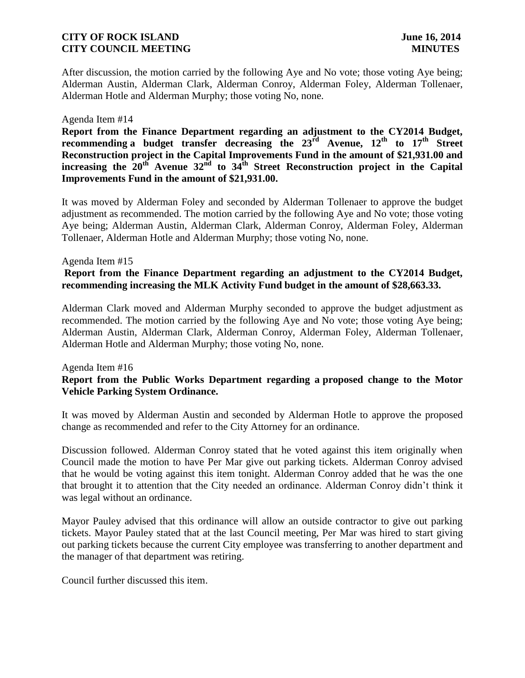After discussion, the motion carried by the following Aye and No vote; those voting Aye being; Alderman Austin, Alderman Clark, Alderman Conroy, Alderman Foley, Alderman Tollenaer, Alderman Hotle and Alderman Murphy; those voting No, none.

### Agenda Item #14

**Report from the Finance Department regarding an adjustment to the CY2014 Budget, recommending a budget transfer decreasing the 23rd Avenue, 12th to 17th Street Reconstruction project in the Capital Improvements Fund in the amount of \$21,931.00 and increasing the 20th Avenue 32nd to 34th Street Reconstruction project in the Capital Improvements Fund in the amount of \$21,931.00.**

It was moved by Alderman Foley and seconded by Alderman Tollenaer to approve the budget adjustment as recommended. The motion carried by the following Aye and No vote; those voting Aye being; Alderman Austin, Alderman Clark, Alderman Conroy, Alderman Foley, Alderman Tollenaer, Alderman Hotle and Alderman Murphy; those voting No, none.

#### Agenda Item #15

# **Report from the Finance Department regarding an adjustment to the CY2014 Budget, recommending increasing the MLK Activity Fund budget in the amount of \$28,663.33.**

Alderman Clark moved and Alderman Murphy seconded to approve the budget adjustment as recommended. The motion carried by the following Aye and No vote; those voting Aye being; Alderman Austin, Alderman Clark, Alderman Conroy, Alderman Foley, Alderman Tollenaer, Alderman Hotle and Alderman Murphy; those voting No, none.

#### Agenda Item #16

# **Report from the Public Works Department regarding a proposed change to the Motor Vehicle Parking System Ordinance.**

It was moved by Alderman Austin and seconded by Alderman Hotle to approve the proposed change as recommended and refer to the City Attorney for an ordinance.

Discussion followed. Alderman Conroy stated that he voted against this item originally when Council made the motion to have Per Mar give out parking tickets. Alderman Conroy advised that he would be voting against this item tonight. Alderman Conroy added that he was the one that brought it to attention that the City needed an ordinance. Alderman Conroy didn't think it was legal without an ordinance.

Mayor Pauley advised that this ordinance will allow an outside contractor to give out parking tickets. Mayor Pauley stated that at the last Council meeting, Per Mar was hired to start giving out parking tickets because the current City employee was transferring to another department and the manager of that department was retiring.

Council further discussed this item.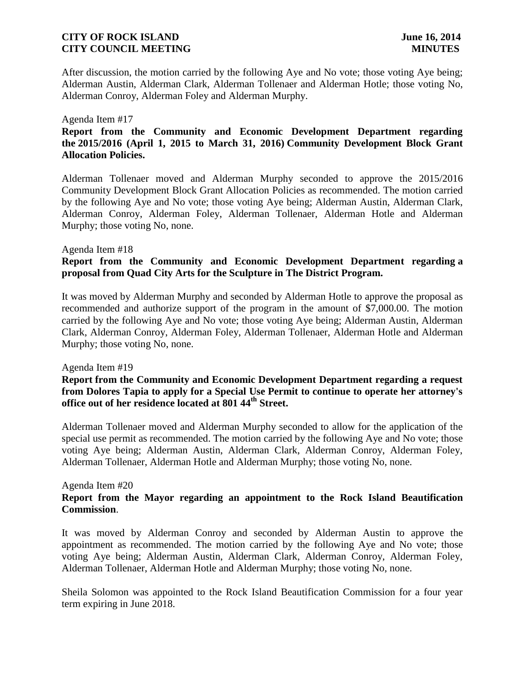After discussion, the motion carried by the following Aye and No vote; those voting Aye being; Alderman Austin, Alderman Clark, Alderman Tollenaer and Alderman Hotle; those voting No, Alderman Conroy, Alderman Foley and Alderman Murphy.

#### Agenda Item #17

# **Report from the Community and Economic Development Department regarding the 2015/2016 (April 1, 2015 to March 31, 2016) Community Development Block Grant Allocation Policies.**

Alderman Tollenaer moved and Alderman Murphy seconded to approve the 2015/2016 Community Development Block Grant Allocation Policies as recommended. The motion carried by the following Aye and No vote; those voting Aye being; Alderman Austin, Alderman Clark, Alderman Conroy, Alderman Foley, Alderman Tollenaer, Alderman Hotle and Alderman Murphy; those voting No, none.

### Agenda Item #18

# **Report from the Community and Economic Development Department regarding a proposal from Quad City Arts for the Sculpture in The District Program.**

It was moved by Alderman Murphy and seconded by Alderman Hotle to approve the proposal as recommended and authorize support of the program in the amount of \$7,000.00. The motion carried by the following Aye and No vote; those voting Aye being; Alderman Austin, Alderman Clark, Alderman Conroy, Alderman Foley, Alderman Tollenaer, Alderman Hotle and Alderman Murphy; those voting No, none.

#### Agenda Item #19

### **Report from the Community and Economic Development Department regarding a request from Dolores Tapia to apply for a Special Use Permit to continue to operate her attorney's office out of her residence located at 801 44th Street.**

Alderman Tollenaer moved and Alderman Murphy seconded to allow for the application of the special use permit as recommended. The motion carried by the following Aye and No vote; those voting Aye being; Alderman Austin, Alderman Clark, Alderman Conroy, Alderman Foley, Alderman Tollenaer, Alderman Hotle and Alderman Murphy; those voting No, none.

### Agenda Item #20

# **Report from the Mayor regarding an appointment to the Rock Island Beautification Commission**.

It was moved by Alderman Conroy and seconded by Alderman Austin to approve the appointment as recommended. The motion carried by the following Aye and No vote; those voting Aye being; Alderman Austin, Alderman Clark, Alderman Conroy, Alderman Foley, Alderman Tollenaer, Alderman Hotle and Alderman Murphy; those voting No, none.

Sheila Solomon was appointed to the Rock Island Beautification Commission for a four year term expiring in June 2018.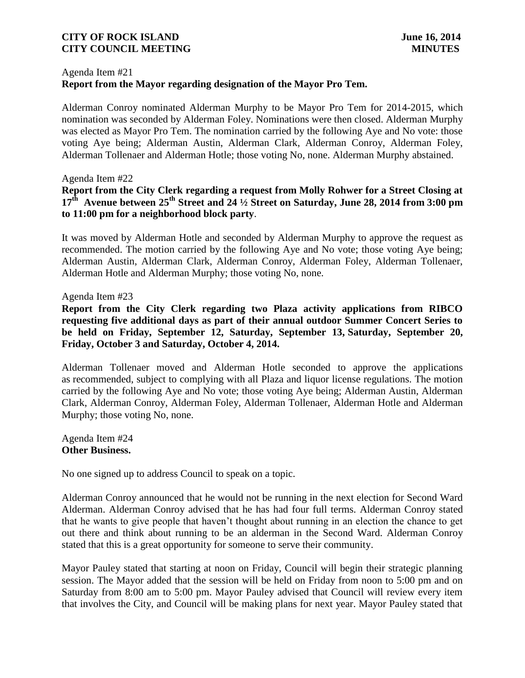# Agenda Item #21 **Report from the Mayor regarding designation of the Mayor Pro Tem.**

Alderman Conroy nominated Alderman Murphy to be Mayor Pro Tem for 2014-2015, which nomination was seconded by Alderman Foley. Nominations were then closed. Alderman Murphy was elected as Mayor Pro Tem. The nomination carried by the following Aye and No vote: those voting Aye being; Alderman Austin, Alderman Clark, Alderman Conroy, Alderman Foley, Alderman Tollenaer and Alderman Hotle; those voting No, none. Alderman Murphy abstained.

### Agenda Item #22

# **Report from the City Clerk regarding a request from Molly Rohwer for a Street Closing at 17th Avenue between 25th Street and 24 ½ Street on Saturday, June 28, 2014 from 3:00 pm to 11:00 pm for a neighborhood block party**.

It was moved by Alderman Hotle and seconded by Alderman Murphy to approve the request as recommended. The motion carried by the following Aye and No vote; those voting Aye being; Alderman Austin, Alderman Clark, Alderman Conroy, Alderman Foley, Alderman Tollenaer, Alderman Hotle and Alderman Murphy; those voting No, none.

### Agenda Item #23

**Report from the City Clerk regarding two Plaza activity applications from RIBCO requesting five additional days as part of their annual outdoor Summer Concert Series to be held on Friday, September 12, Saturday, September 13, Saturday, September 20, Friday, October 3 and Saturday, October 4, 2014.**

Alderman Tollenaer moved and Alderman Hotle seconded to approve the applications as recommended, subject to complying with all Plaza and liquor license regulations. The motion carried by the following Aye and No vote; those voting Aye being; Alderman Austin, Alderman Clark, Alderman Conroy, Alderman Foley, Alderman Tollenaer, Alderman Hotle and Alderman Murphy; those voting No, none.

Agenda Item #24 **Other Business.**

No one signed up to address Council to speak on a topic.

Alderman Conroy announced that he would not be running in the next election for Second Ward Alderman. Alderman Conroy advised that he has had four full terms. Alderman Conroy stated that he wants to give people that haven't thought about running in an election the chance to get out there and think about running to be an alderman in the Second Ward. Alderman Conroy stated that this is a great opportunity for someone to serve their community.

Mayor Pauley stated that starting at noon on Friday, Council will begin their strategic planning session. The Mayor added that the session will be held on Friday from noon to 5:00 pm and on Saturday from 8:00 am to 5:00 pm. Mayor Pauley advised that Council will review every item that involves the City, and Council will be making plans for next year. Mayor Pauley stated that